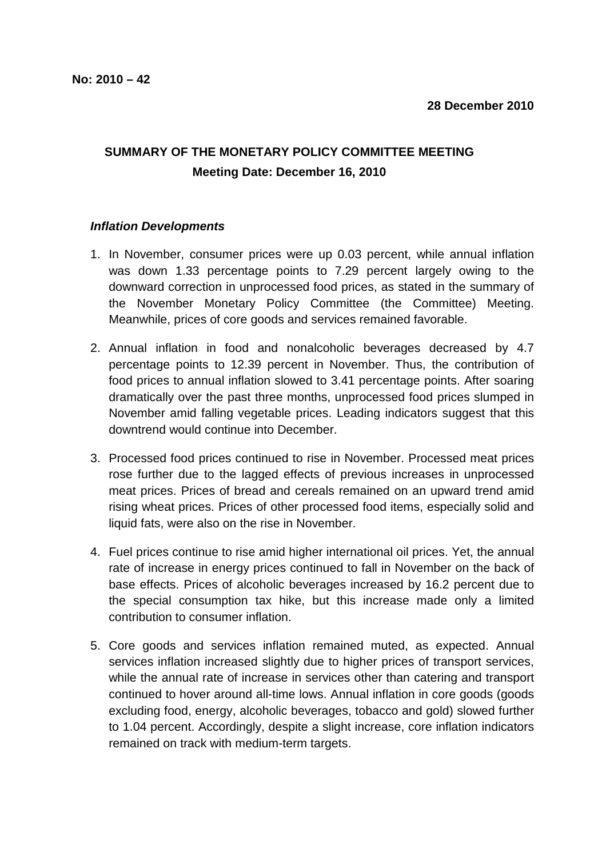## **SUMMARY OF THE MONETARY POLICY COMMITTEE MEETING Meeting Date: December 16, 2010**

## **Inflation Developments**

- 1. In November, consumer prices were up 0.03 percent, while annual inflation was down 1.33 percentage points to 7.29 percent largely owing to the downward correction in unprocessed food prices, as stated in the summary of the November Monetary Policy Committee (the Committee) Meeting. Meanwhile, prices of core goods and services remained favorable.
- 2. Annual inflation in food and nonalcoholic beverages decreased by 4.7 percentage points to 12.39 percent in November. Thus, the contribution of food prices to annual inflation slowed to 3.41 percentage points. After soaring dramatically over the past three months, unprocessed food prices slumped in November amid falling vegetable prices. Leading indicators suggest that this downtrend would continue into December.
- 3. Processed food prices continued to rise in November. Processed meat prices rose further due to the lagged effects of previous increases in unprocessed meat prices. Prices of bread and cereals remained on an upward trend amid rising wheat prices. Prices of other processed food items, especially solid and liquid fats, were also on the rise in November.
- 4. Fuel prices continue to rise amid higher international oil prices. Yet, the annual rate of increase in energy prices continued to fall in November on the back of base effects. Prices of alcoholic beverages increased by 16.2 percent due to the special consumption tax hike, but this increase made only a limited contribution to consumer inflation.
- 5. Core goods and services inflation remained muted, as expected. Annual services inflation increased slightly due to higher prices of transport services, while the annual rate of increase in services other than catering and transport continued to hover around all-time lows. Annual inflation in core goods (goods excluding food, energy, alcoholic beverages, tobacco and gold) slowed further to 1.04 percent. Accordingly, despite a slight increase, core inflation indicators remained on track with medium-term targets.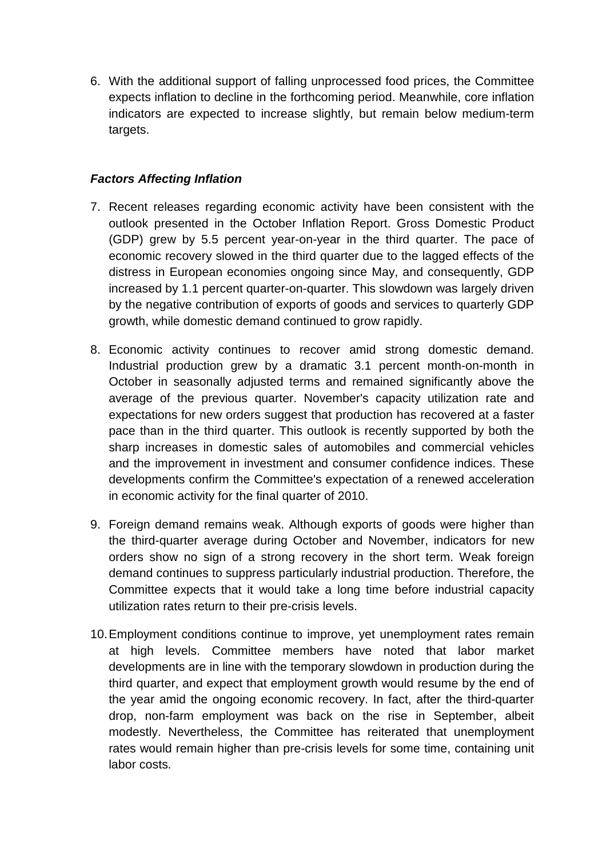6. With the additional support of falling unprocessed food prices, the Committee expects inflation to decline in the forthcoming period. Meanwhile, core inflation indicators are expected to increase slightly, but remain below medium-term targets.

## **Factors Affecting Inflation**

- 7. Recent releases regarding economic activity have been consistent with the outlook presented in the October Inflation Report. Gross Domestic Product (GDP) grew by 5.5 percent year-on-year in the third quarter. The pace of economic recovery slowed in the third quarter due to the lagged effects of the distress in European economies ongoing since May, and consequently, GDP increased by 1.1 percent quarter-on-quarter. This slowdown was largely driven by the negative contribution of exports of goods and services to quarterly GDP growth, while domestic demand continued to grow rapidly.
- 8. Economic activity continues to recover amid strong domestic demand. Industrial production grew by a dramatic 3.1 percent month-on-month in October in seasonally adjusted terms and remained significantly above the average of the previous quarter. November's capacity utilization rate and expectations for new orders suggest that production has recovered at a faster pace than in the third quarter. This outlook is recently supported by both the sharp increases in domestic sales of automobiles and commercial vehicles and the improvement in investment and consumer confidence indices. These developments confirm the Committee's expectation of a renewed acceleration in economic activity for the final quarter of 2010.
- 9. Foreign demand remains weak. Although exports of goods were higher than the third-quarter average during October and November, indicators for new orders show no sign of a strong recovery in the short term. Weak foreign demand continues to suppress particularly industrial production. Therefore, the Committee expects that it would take a long time before industrial capacity utilization rates return to their pre-crisis levels.
- 10. Employment conditions continue to improve, yet unemployment rates remain at high levels. Committee members have noted that labor market developments are in line with the temporary slowdown in production during the third quarter, and expect that employment growth would resume by the end of the year amid the ongoing economic recovery. In fact, after the third-quarter drop, non-farm employment was back on the rise in September, albeit modestly. Nevertheless, the Committee has reiterated that unemployment rates would remain higher than pre-crisis levels for some time, containing unit labor costs.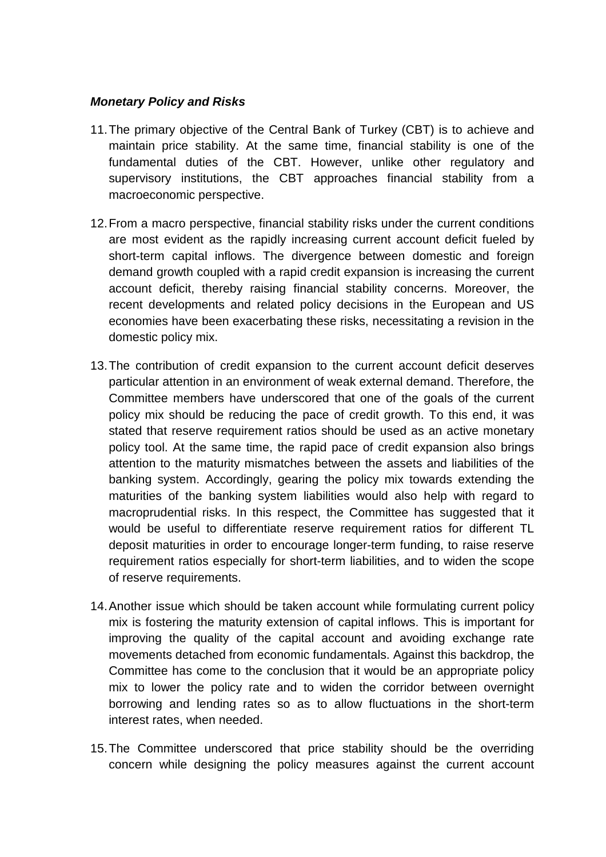## **Monetary Policy and Risks**

- 11. The primary objective of the Central Bank of Turkey (CBT) is to achieve and maintain price stability. At the same time, financial stability is one of the fundamental duties of the CBT. However, unlike other regulatory and supervisory institutions, the CBT approaches financial stability from a macroeconomic perspective.
- 12. From a macro perspective, financial stability risks under the current conditions are most evident as the rapidly increasing current account deficit fueled by short-term capital inflows. The divergence between domestic and foreign demand growth coupled with a rapid credit expansion is increasing the current account deficit, thereby raising financial stability concerns. Moreover, the recent developments and related policy decisions in the European and US economies have been exacerbating these risks, necessitating a revision in the domestic policy mix.
- 13. The contribution of credit expansion to the current account deficit deserves particular attention in an environment of weak external demand. Therefore, the Committee members have underscored that one of the goals of the current policy mix should be reducing the pace of credit growth. To this end, it was stated that reserve requirement ratios should be used as an active monetary policy tool. At the same time, the rapid pace of credit expansion also brings attention to the maturity mismatches between the assets and liabilities of the banking system. Accordingly, gearing the policy mix towards extending the maturities of the banking system liabilities would also help with regard to macroprudential risks. In this respect, the Committee has suggested that it would be useful to differentiate reserve requirement ratios for different TL deposit maturities in order to encourage longer-term funding, to raise reserve requirement ratios especially for short-term liabilities, and to widen the scope of reserve requirements.
- 14. Another issue which should be taken account while formulating current policy mix is fostering the maturity extension of capital inflows. This is important for improving the quality of the capital account and avoiding exchange rate movements detached from economic fundamentals. Against this backdrop, the Committee has come to the conclusion that it would be an appropriate policy mix to lower the policy rate and to widen the corridor between overnight borrowing and lending rates so as to allow fluctuations in the short-term interest rates, when needed.
- 15. The Committee underscored that price stability should be the overriding concern while designing the policy measures against the current account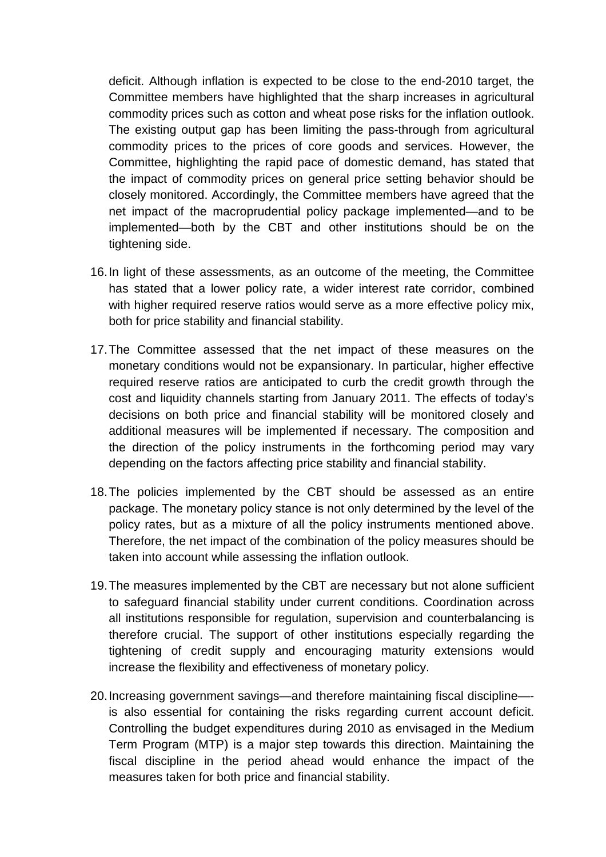deficit. Although inflation is expected to be close to the end-2010 target, the Committee members have highlighted that the sharp increases in agricultural commodity prices such as cotton and wheat pose risks for the inflation outlook. The existing output gap has been limiting the pass-through from agricultural commodity prices to the prices of core goods and services. However, the Committee, highlighting the rapid pace of domestic demand, has stated that the impact of commodity prices on general price setting behavior should be closely monitored. Accordingly, the Committee members have agreed that the net impact of the macroprudential policy package implemented—and to be implemented—both by the CBT and other institutions should be on the tightening side.

- 16. In light of these assessments, as an outcome of the meeting, the Committee has stated that a lower policy rate, a wider interest rate corridor, combined with higher required reserve ratios would serve as a more effective policy mix, both for price stability and financial stability.
- 17. The Committee assessed that the net impact of these measures on the monetary conditions would not be expansionary. In particular, higher effective required reserve ratios are anticipated to curb the credit growth through the cost and liquidity channels starting from January 2011. The effects of today's decisions on both price and financial stability will be monitored closely and additional measures will be implemented if necessary. The composition and the direction of the policy instruments in the forthcoming period may vary depending on the factors affecting price stability and financial stability.
- 18. The policies implemented by the CBT should be assessed as an entire package. The monetary policy stance is not only determined by the level of the policy rates, but as a mixture of all the policy instruments mentioned above. Therefore, the net impact of the combination of the policy measures should be taken into account while assessing the inflation outlook.
- 19. The measures implemented by the CBT are necessary but not alone sufficient to safeguard financial stability under current conditions. Coordination across all institutions responsible for regulation, supervision and counterbalancing is therefore crucial. The support of other institutions especially regarding the tightening of credit supply and encouraging maturity extensions would increase the flexibility and effectiveness of monetary policy.
- 20. Increasing government savings—and therefore maintaining fiscal discipline— is also essential for containing the risks regarding current account deficit. Controlling the budget expenditures during 2010 as envisaged in the Medium Term Program (MTP) is a major step towards this direction. Maintaining the fiscal discipline in the period ahead would enhance the impact of the measures taken for both price and financial stability.